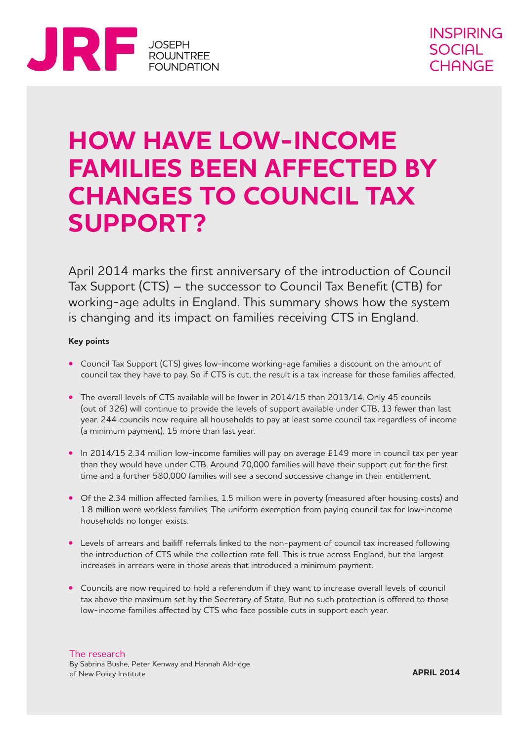

# **HOW HAVE LOW-INCOME FAMILIES BEEN AFFECTED BY CHANGES TO COUNCIL TAX SUPPORT?**

April 2014 marks the first anniversary of the introduction of Council Tax Support (CTS) – the successor to Council Tax Benefit (CTB) for working-age adults in England. This summary shows how the system is changing and its impact on families receiving CTS in England.

### **Key points**

- **•** Council Tax Support (CTS) gives low-income working-age families a discount on the amount of council tax they have to pay. So if CTS is cut, the result is a tax increase for those families affected.
- The overall levels of CTS available will be lower in 2014/15 than 2013/14. Only 45 councils (out of 326) will continue to provide the levels of support available under CTB, 13 fewer than last year. 244 councils now require all households to pay at least some council tax regardless of income (a minimum payment), 15 more than last year.
- In 2014/15 2.34 million low-income families will pay on average £149 more in council tax per year than they would have under CTB. Around 70,000 families will have their support cut for the first time and a further 580,000 families will see a second successive change in their entitlement.
- **•** Of the 2.34 million affected families, 1.5 million were in poverty (measured after housing costs) and 1.8 million were workless families. The uniform exemption from paying council tax for low-income households no longer exists.
- **•** Levels of arrears and bailiff referrals linked to the non-payment of council tax increased following the introduction of CTS while the collection rate fell. This is true across England, but the largest increases in arrears were in those areas that introduced a minimum payment.
- **•** Councils are now required to hold a referendum if they want to increase overall levels of council tax above the maximum set by the Secretary of State. But no such protection is offered to those low-income families affected by CTS who face possible cuts in support each year.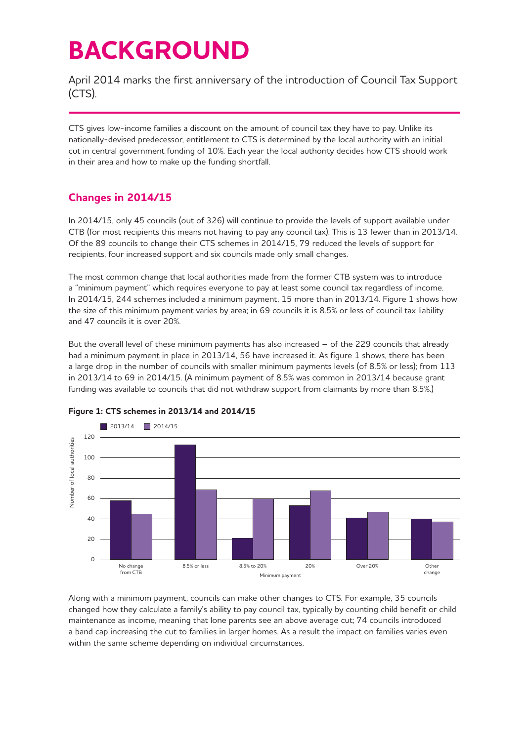# **BACKGROUND**

April 2014 marks the first anniversary of the introduction of Council Tax Support (CTS).

CTS gives low-income families a discount on the amount of council tax they have to pay. Unlike its nationally-devised predecessor, entitlement to CTS is determined by the local authority with an initial cut in central government funding of 10%. Each year the local authority decides how CTS should work in their area and how to make up the funding shortfall.

## **Changes in 2014/15**

In 2014/15, only 45 councils (out of 326) will continue to provide the levels of support available under CTB (for most recipients this means not having to pay any council tax). This is 13 fewer than in 2013/14. Of the 89 councils to change their CTS schemes in 2014/15, 79 reduced the levels of support for recipients, four increased support and six councils made only small changes.

The most common change that local authorities made from the former CTB system was to introduce a "minimum payment" which requires everyone to pay at least some council tax regardless of income. In 2014/15, 244 schemes included a minimum payment, 15 more than in 2013/14. Figure 1 shows how the size of this minimum payment varies by area; in 69 councils it is 8.5% or less of council tax liability and 47 councils it is over 20%.

But the overall level of these minimum payments has also increased – of the 229 councils that already had a minimum payment in place in 2013/14, 56 have increased it. As figure 1 shows, there has been a large drop in the number of councils with smaller minimum payments levels (of 8.5% or less); from 113 in 2013/14 to 69 in 2014/15. (A minimum payment of 8.5% was common in 2013/14 because grant funding was available to councils that did not withdraw support from claimants by more than 8.5%.)



### **Figure 1: CTS schemes in 2013/14 and 2014/15**

Along with a minimum payment, councils can make other changes to CTS. For example, 35 councils changed how they calculate a family's ability to pay council tax, typically by counting child benefit or child maintenance as income, meaning that lone parents see an above average cut; 74 councils introduced a band cap increasing the cut to families in larger homes. As a result the impact on families varies even within the same scheme depending on individual circumstances.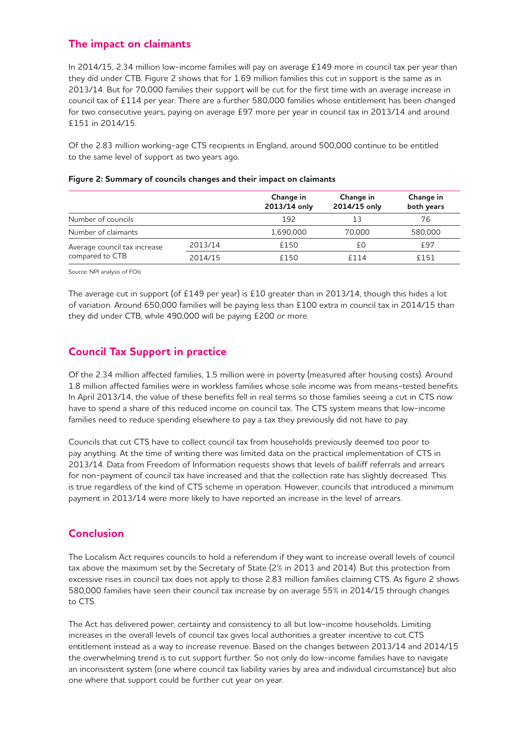## **The impact on claimants**

In 2014/15, 2.34 million low-income families will pay on average £149 more in council tax per year than they did under CTB. Figure 2 shows that for 1.69 million families this cut in support is the same as in 2013/14. But for 70,000 families their support will be cut for the first time with an average increase in council tax of £114 per year. There are a further 580,000 families whose entitlement has been changed for two consecutive years, paying on average £97 more per year in council tax in 2013/14 and around £151 in 2014/15.

Of the 2.83 million working-age CTS recipients in England, around 500,000 continue to be entitled to the same level of support as two years ago.

|                                                 |         | Change in<br>2013/14 only | Change in<br>2014/15 only | Change in<br>both years |
|-------------------------------------------------|---------|---------------------------|---------------------------|-------------------------|
| Number of councils                              |         | 192                       |                           | 76                      |
| Number of claimants                             |         | 1.690.000                 | 70,000                    | 580,000                 |
| Average council tax increase<br>compared to CTB | 2013/14 | £150                      | £Ο                        | £97                     |
|                                                 | 2014/15 | £150                      | £114                      | £151                    |

#### **Figure 2: Summary of councils changes and their impact on claimants**

Source: NPI analysis of FOIs

The average cut in support (of £149 per year) is £10 greater than in 2013/14, though this hides a lot of variation. Around 650,000 families will be paying less than £100 extra in council tax in 2014/15 than they did under CTB, while 490,000 will be paying £200 or more.

## **Council Tax Support in practice**

Of the 2.34 million affected families, 1.5 million were in poverty (measured after housing costs). Around 1.8 million affected families were in workless families whose sole income was from means-tested benefits. In April 2013/14, the value of these benefits fell in real terms so those families seeing a cut in CTS now have to spend a share of this reduced income on council tax. The CTS system means that low-income families need to reduce spending elsewhere to pay a tax they previously did not have to pay.

Councils that cut CTS have to collect council tax from households previously deemed too poor to pay anything. At the time of writing there was limited data on the practical implementation of CTS in 2013/14. Data from Freedom of Information requests shows that levels of bailiff referrals and arrears for non-payment of council tax have increased and that the collection rate has slightly decreased. This is true regardless of the kind of CTS scheme in operation. However, councils that introduced a minimum payment in 2013/14 were more likely to have reported an increase in the level of arrears.

## **Conclusion**

The Localism Act requires councils to hold a referendum if they want to increase overall levels of council tax above the maximum set by the Secretary of State (2% in 2013 and 2014). But this protection from excessive rises in council tax does not apply to those 2.83 million families claiming CTS. As figure 2 shows 580,000 families have seen their council tax increase by on average 55% in 2014/15 through changes to CTS.

The Act has delivered power, certainty and consistency to all but low-income households. Limiting increases in the overall levels of council tax gives local authorities a greater incentive to cut CTS entitlement instead as a way to increase revenue. Based on the changes between 2013/14 and 2014/15 the overwhelming trend is to cut support further. So not only do low-income families have to navigate an inconsistent system (one where council tax liability varies by area and individual circumstance) but also one where that support could be further cut year on year.